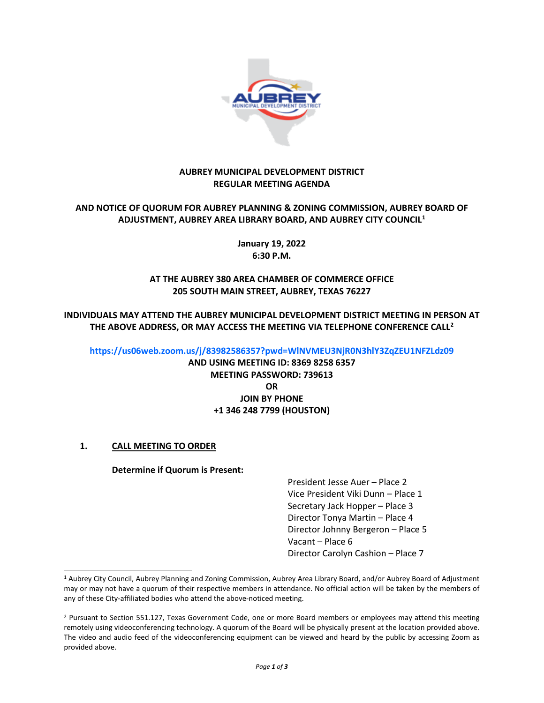

### **AUBREY MUNICIPAL DEVELOPMENT DISTRICT REGULAR MEETING AGENDA**

## **AND NOTICE OF QUORUM FOR AUBREY PLANNING & ZONING COMMISSION, AUBREY BOARD OF ADJUSTMENT, AUBREY AREA LIBRARY BOARD, AND AUBREY CITY COUNCIL[1](#page-0-0)**

**January 19, 2022 6:30 P.M.**

## **AT THE AUBREY 380 AREA CHAMBER OF COMMERCE OFFICE 205 SOUTH MAIN STREET, AUBREY, TEXAS 76227**

**INDIVIDUALS MAY ATTEND THE AUBREY MUNICIPAL DEVELOPMENT DISTRICT MEETING IN PERSON AT THE ABOVE ADDRESS, OR MAY ACCESS THE MEETING VIA TELEPHONE CONFERENCE CALL[2](#page-0-1)**

#### **<https://us06web.zoom.us/j/83982586357?pwd=WlNVMEU3NjR0N3hlY3ZqZEU1NFZLdz09>**

**AND USING MEETING ID: 8369 8258 6357 MEETING PASSWORD: 739613 OR JOIN BY PHONE +1 346 248 7799 (HOUSTON)**

# **1. CALL MEETING TO ORDER**

#### **Determine if Quorum is Present:**

President Jesse Auer – Place 2 Vice President Viki Dunn – Place 1 Secretary Jack Hopper – Place 3 Director Tonya Martin – Place 4 Director Johnny Bergeron – Place 5 Vacant – Place 6 Director Carolyn Cashion – Place 7

<span id="page-0-0"></span><sup>1</sup> Aubrey City Council, Aubrey Planning and Zoning Commission, Aubrey Area Library Board, and/or Aubrey Board of Adjustment may or may not have a quorum of their respective members in attendance. No official action will be taken by the members of any of these City-affiliated bodies who attend the above-noticed meeting.

<span id="page-0-1"></span><sup>&</sup>lt;sup>2</sup> Pursuant to Section 551.127, Texas Government Code, one or more Board members or employees may attend this meeting remotely using videoconferencing technology. A quorum of the Board will be physically present at the location provided above. The video and audio feed of the videoconferencing equipment can be viewed and heard by the public by accessing Zoom as provided above.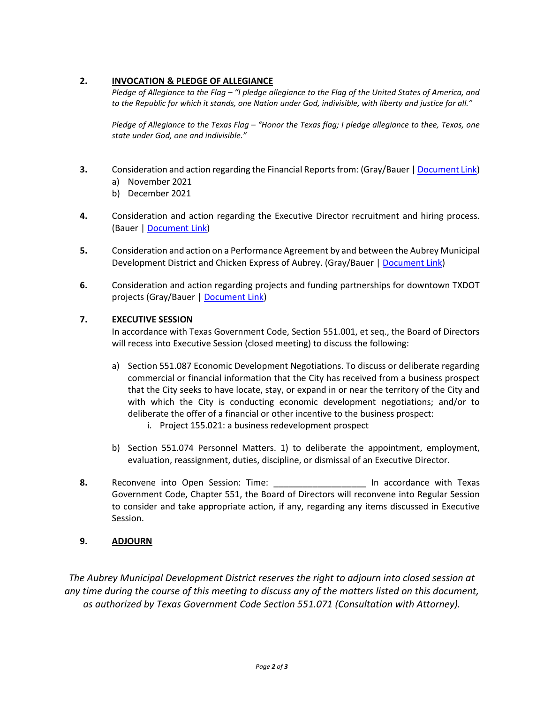# **2. INVOCATION & PLEDGE OF ALLEGIANCE**

*Pledge of Allegiance to the Flag – "I pledge allegiance to the Flag of the United States of America, and to the Republic for which it stands, one Nation under God, indivisible, with liberty and justice for all."*

*Pledge of Allegiance to the Texas Flag – "Honor the Texas flag; I pledge allegiance to thee, Texas, one state under God, one and indivisible."*

- **3.** Consideration and action regarding the Financial Reports from: (Gray/Bauer [| Document Link\)](https://www.dropbox.com/s/s87x00xq7efqkou/2022%200119%20Item%203.pdf?dl=0)
	- a) November 2021
	- b) December 2021
- **4.** Consideration and action regarding the Executive Director recruitment and hiring process. (Bauer [| Document Link\)](https://www.dropbox.com/s/e005fguwqojxkb0/2022%200119%20Item%204.pdf?dl=0)
- **5.** Consideration and action on a Performance Agreement by and between the Aubrey Municipal Development District and Chicken Express of Aubrey. (Gray/Bauer [| Document Link\)](https://www.dropbox.com/s/694hjptasa2dwrp/2022%200119%20Item%205.pdf?dl=0)
- **6.** Consideration and action regarding projects and funding partnerships for downtown TXDOT projects (Gray/Bauer [| Document Link\)](https://www.dropbox.com/s/f0lixnn70jhztxv/2022%200119%20Item%206.pdf?dl=0)

#### **7. EXECUTIVE SESSION**

In accordance with Texas Government Code, Section 551.001, et seq., the Board of Directors will recess into Executive Session (closed meeting) to discuss the following:

- a) Section 551.087 Economic Development Negotiations. To discuss or deliberate regarding commercial or financial information that the City has received from a business prospect that the City seeks to have locate, stay, or expand in or near the territory of the City and with which the City is conducting economic development negotiations; and/or to deliberate the offer of a financial or other incentive to the business prospect:
	- i. Project 155.021: a business redevelopment prospect
- b) Section 551.074 Personnel Matters. 1) to deliberate the appointment, employment, evaluation, reassignment, duties, discipline, or dismissal of an Executive Director.
- **8.** Reconvene into Open Session: Time: \_\_\_\_\_\_\_\_\_\_\_\_\_\_\_\_\_\_\_ In accordance with Texas Government Code, Chapter 551, the Board of Directors will reconvene into Regular Session to consider and take appropriate action, if any, regarding any items discussed in Executive Session.

# **9. ADJOURN**

*The Aubrey Municipal Development District reserves the right to adjourn into closed session at any time during the course of this meeting to discuss any of the matters listed on this document, as authorized by Texas Government Code Section 551.071 (Consultation with Attorney).*